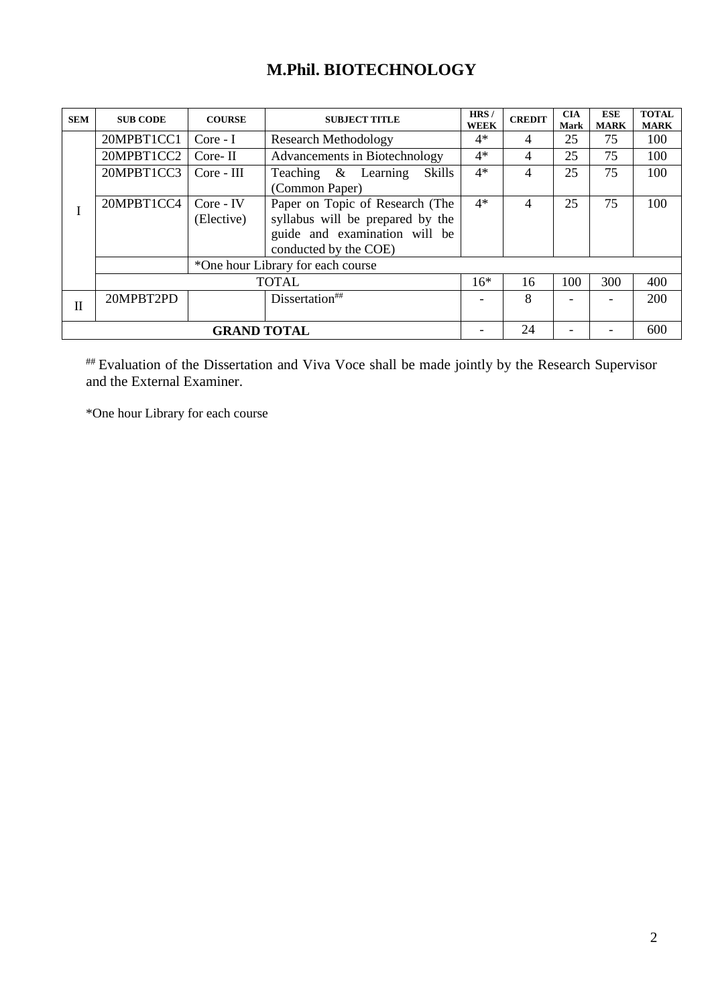# **M.Phil. BIOTECHNOLOGY**

| <b>SEM</b>   | <b>SUB CODE</b>                         | <b>COURSE</b>      | <b>SUBJECT TITLE</b>              | HRS/<br><b>WEEK</b> | <b>CREDIT</b> | <b>CIA</b><br><b>Mark</b> | <b>ESE</b><br><b>MARK</b> | <b>TOTAL</b><br><b>MARK</b> |
|--------------|-----------------------------------------|--------------------|-----------------------------------|---------------------|---------------|---------------------------|---------------------------|-----------------------------|
|              | 20MPBT1CC1                              | $Core - I$         | <b>Research Methodology</b>       | $4*$                | 4             | 25                        | 75                        | 100                         |
|              | 20MPBT1CC2                              | $Core-II$          | Advancements in Biotechnology     | $4*$                | 4             | 25                        | 75                        | 100                         |
|              | 20MPBT1CC3                              | $Core - III$       | Teaching & Learning<br>Skills     | $4*$                | 4             | 25                        | 75                        | 100                         |
|              |                                         |                    |                                   |                     |               |                           |                           |                             |
|              | 20MPBT1CC4                              | $Core$ - $IV$      | Paper on Topic of Research (The   | $4*$                | 4             | 25                        | 75                        | 100                         |
|              |                                         | (Elective)         | syllabus will be prepared by the  |                     |               |                           |                           |                             |
|              |                                         |                    | guide and examination will be     |                     |               |                           |                           |                             |
|              |                                         |                    | conducted by the COE)             |                     |               |                           |                           |                             |
|              |                                         |                    | *One hour Library for each course |                     |               |                           |                           |                             |
|              |                                         |                    | <b>TOTAL</b>                      | $16*$               | 16            | 100                       | 300                       | 400                         |
| $\mathbf{I}$ | 20MPBT2PD<br>Dissertation <sup>##</sup> |                    |                                   |                     | 8             |                           |                           | 200                         |
|              |                                         |                    |                                   |                     |               |                           |                           |                             |
|              |                                         | <b>GRAND TOTAL</b> |                                   | 24                  |               |                           | 600                       |                             |

## Evaluation of the Dissertation and Viva Voce shall be made jointly by the Research Supervisor and the External Examiner.

\*One hour Library for each course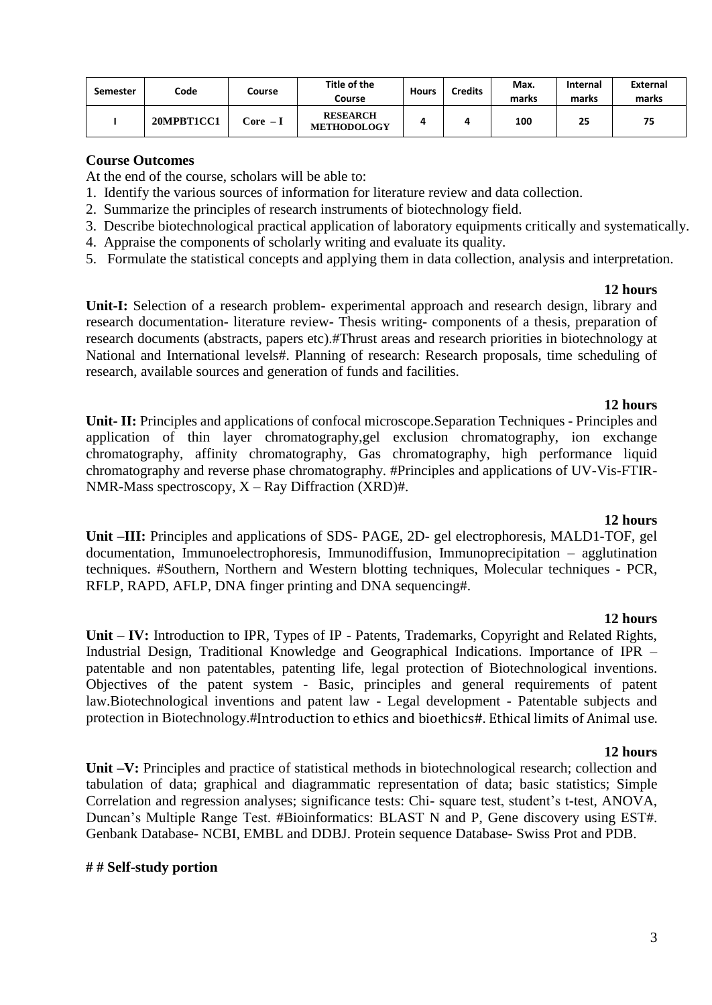| <b>Semester</b> | Code       | Course    | Title of the<br>Course                | <b>Hours</b> | Credits | Max.<br>marks | <b>Internal</b><br>marks | <b>External</b><br>marks |
|-----------------|------------|-----------|---------------------------------------|--------------|---------|---------------|--------------------------|--------------------------|
|                 | 20MPBT1CC1 | Core  – I | <b>RESEARCH</b><br><b>METHODOLOGY</b> |              |         | 100           | 25                       | 75                       |

At the end of the course, scholars will be able to:

- 1. Identify the various sources of information for literature review and data collection.
- 2. Summarize the principles of research instruments of biotechnology field.
- 3. Describe biotechnological practical application of laboratory equipments critically and systematically.
- 4. Appraise the components of scholarly writing and evaluate its quality.
- 5. Formulate the statistical concepts and applying them in data collection, analysis and interpretation.

#### **12 hours**

**Unit-I:** Selection of a research problem- experimental approach and research design, library and research documentation- literature review- Thesis writing- components of a thesis, preparation of research documents (abstracts, papers etc).#Thrust areas and research priorities in biotechnology at National and International levels#. Planning of research: Research proposals, time scheduling of research, available sources and generation of funds and facilities.

#### **12 hours**

**Unit- II:** Principles and applications of confocal microscope.Separation Techniques - Principles and application of thin layer chromatography,gel exclusion chromatography, ion exchange chromatography, affinity chromatography, Gas chromatography, high performance liquid chromatography and reverse phase chromatography. #Principles and applications of UV-Vis-FTIR-NMR-Mass spectroscopy,  $X - Ray$  Diffraction (XRD)#.

#### **12 hours**

**Unit –III:** Principles and applications of SDS- PAGE, 2D- gel electrophoresis, MALD1-TOF, gel documentation, Immunoelectrophoresis, Immunodiffusion, Immunoprecipitation – agglutination techniques. #Southern, Northern and Western blotting techniques, Molecular techniques - PCR, RFLP, RAPD, AFLP, DNA finger printing and DNA sequencing#.

#### **12 hours**

Unit – **IV:** Introduction to IPR, Types of IP - Patents, Trademarks, Copyright and Related Rights, Industrial Design, Traditional Knowledge and Geographical Indications. Importance of IPR – patentable and non patentables, patenting life, legal protection of Biotechnological inventions. Objectives of the patent system - Basic, principles and general requirements of patent law.Biotechnological inventions and patent law - Legal development - Patentable subjects and protection in Biotechnology.#Introduction to ethics and bioethics#. Ethical limits of Animal use.

#### **12 hours**

**Unit –V:** Principles and practice of statistical methods in biotechnological research; collection and tabulation of data; graphical and diagrammatic representation of data; basic statistics; Simple Correlation and regression analyses; significance tests: Chi- square test, student's t-test, ANOVA, Duncan's Multiple Range Test. #Bioinformatics: BLAST N and P, Gene discovery using EST#. Genbank Database- NCBI, EMBL and DDBJ. Protein sequence Database- Swiss Prot and PDB.

#### **# # Self-study portion**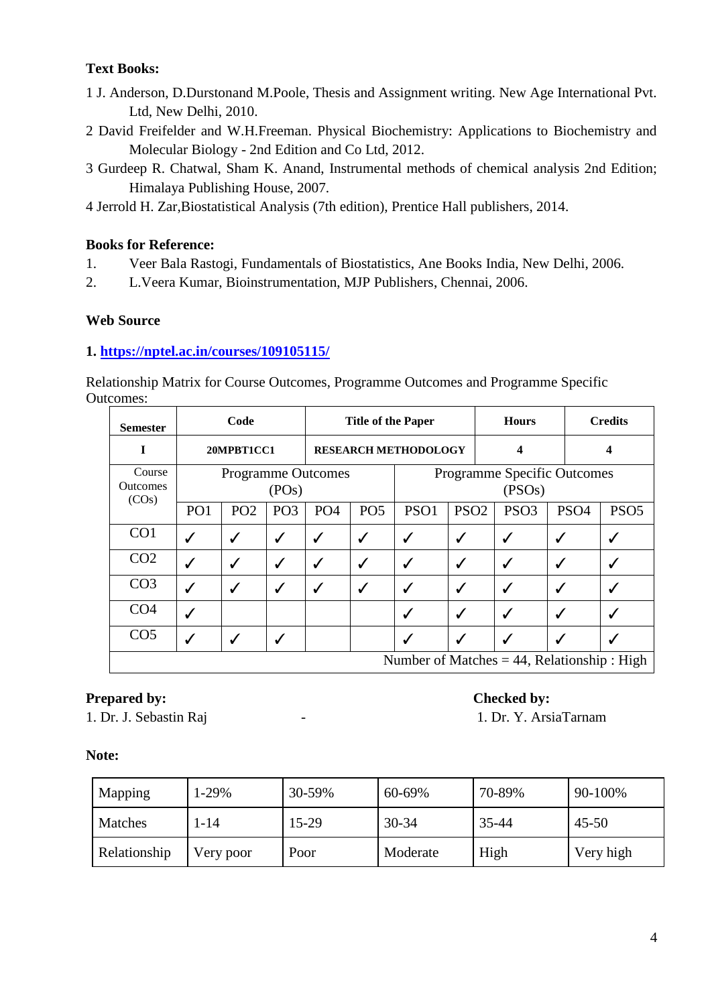- 1 J. Anderson, D.Durstonand M.Poole, Thesis and Assignment writing. New Age International Pvt. Ltd, New Delhi, 2010.
- 2 David Freifelder and W.H.Freeman. Physical Biochemistry: Applications to Biochemistry and Molecular Biology - 2nd Edition and Co Ltd, 2012.
- 3 Gurdeep R. Chatwal, Sham K. Anand, Instrumental methods of chemical analysis 2nd Edition; Himalaya Publishing House, 2007.
- 4 Jerrold H. Zar,Biostatistical Analysis (7th edition), Prentice Hall publishers, 2014.

# **Books for Reference:**

- 1. Veer Bala Rastogi, Fundamentals of Biostatistics, Ane Books India, New Delhi, 2006.
- 2. L.Veera Kumar, Bioinstrumentation, MJP Publishers, Chennai, 2006.

# **Web Source**

# **1.<https://nptel.ac.in/courses/109105115/>**

Relationship Matrix for Course Outcomes, Programme Outcomes and Programme Specific Outcomes:

| <b>Semester</b>                    | Code                                          |                 |                 |                             | <b>Title of the Paper</b> |                                              |                  |  | <b>Hours</b>     |                  | <b>Credits</b>   |  |
|------------------------------------|-----------------------------------------------|-----------------|-----------------|-----------------------------|---------------------------|----------------------------------------------|------------------|--|------------------|------------------|------------------|--|
| 1                                  |                                               | 20MPBT1CC1      |                 | <b>RESEARCH METHODOLOGY</b> |                           |                                              |                  |  | 4                |                  | 4                |  |
| Course<br><b>Outcomes</b><br>(COs) | <b>Programme Outcomes</b><br>(POS)            |                 |                 |                             |                           | <b>Programme Specific Outcomes</b><br>(PSOs) |                  |  |                  |                  |                  |  |
|                                    | PO <sub>1</sub>                               | PO <sub>2</sub> | PO <sub>3</sub> | PO <sub>4</sub>             | PO <sub>5</sub>           | PSO1                                         | PSO <sub>2</sub> |  | PSO <sub>3</sub> | PSO <sub>4</sub> | PSO <sub>5</sub> |  |
| CO <sub>1</sub>                    | ✓                                             | ✔               | ✓               | ✓                           | ✓                         | √                                            | ✓                |  | ✓                |                  |                  |  |
| CO <sub>2</sub>                    | $\checkmark$                                  | $\checkmark$    | $\checkmark$    | ✓                           | √                         | √                                            | ✓                |  | ✔                | ✔                |                  |  |
| CO <sub>3</sub>                    |                                               | ✓               | $\checkmark$    | ✓                           | ✓                         | √                                            | $\checkmark$     |  | ✓                | ✔                |                  |  |
| CO <sub>4</sub>                    | ✔                                             |                 |                 |                             |                           | √                                            | $\checkmark$     |  | ✓                | ✔                |                  |  |
| CO <sub>5</sub>                    | $\checkmark$<br>$\checkmark$                  |                 |                 |                             |                           | √                                            | $\checkmark$     |  | $\checkmark$     |                  |                  |  |
|                                    | Number of Matches $=$ 44, Relationship : High |                 |                 |                             |                           |                                              |                  |  |                  |                  |                  |  |

# **Prepared by: Checked by: Checked by:**

1. Dr. J. Sebastin Raj  $\qquad \qquad$  - 1. Dr. Y. ArsiaTarnam

| Mapping      | 1-29%     |       | 60-69%    | 70-89% | 90-100%   |  |
|--------------|-----------|-------|-----------|--------|-----------|--|
| Matches      | 1-14      | 15-29 | $30 - 34$ | 35-44  | $45 - 50$ |  |
| Relationship | Very poor | Poor  | Moderate  | High   | Very high |  |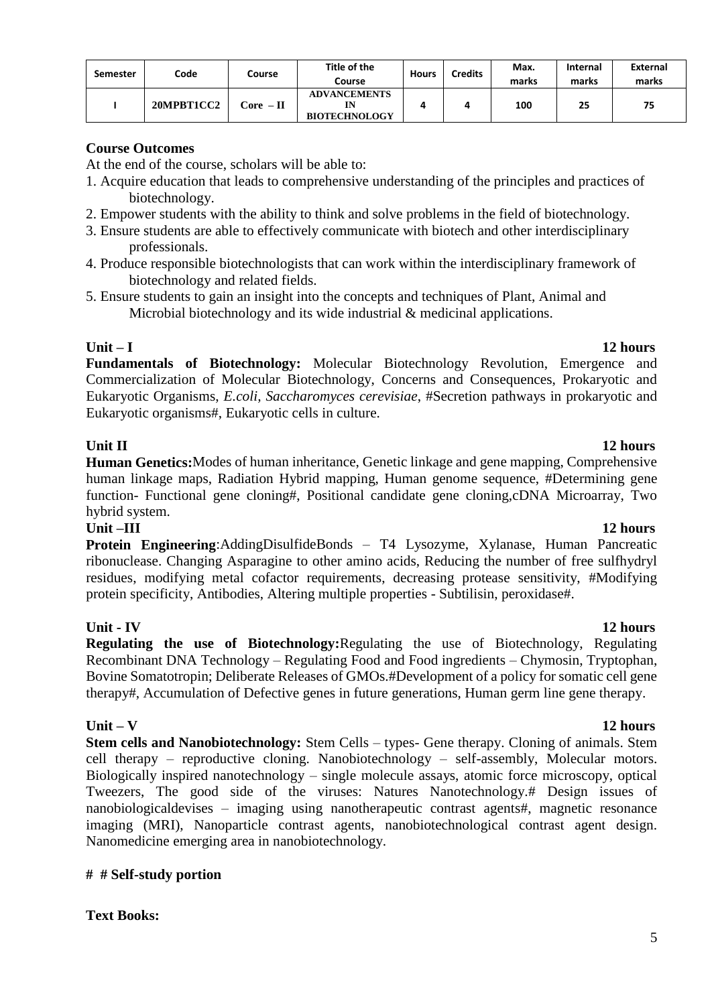5

| Semester | Code       | Course        | Title of the<br>Course                      | <b>Hours</b> | Credits | Max.<br>marks | <b>Internal</b><br>marks | External<br>marks |
|----------|------------|---------------|---------------------------------------------|--------------|---------|---------------|--------------------------|-------------------|
|          | 20MPBT1CC2 | $\rm Core-II$ | <b>ADVANCEMENTS</b><br><b>BIOTECHNOLOGY</b> |              |         | 100           | 25                       | 75                |

# **Course Outcomes**

At the end of the course, scholars will be able to:

- 1. Acquire education that leads to comprehensive understanding of the principles and practices of biotechnology.
- 2. Empower students with the ability to think and solve problems in the field of biotechnology.
- 3. Ensure students are able to effectively communicate with biotech and other interdisciplinary professionals.
- 4. Produce responsible biotechnologists that can work within the interdisciplinary framework of biotechnology and related fields.
- 5. Ensure students to gain an insight into the concepts and techniques of Plant, Animal and Microbial biotechnology and its wide industrial & medicinal applications.

**Unit – I 12 hours Fundamentals of Biotechnology:** Molecular Biotechnology Revolution, Emergence and Commercialization of Molecular Biotechnology, Concerns and Consequences, Prokaryotic and Eukaryotic Organisms, *E.coli, Saccharomyces cerevisiae*, #Secretion pathways in prokaryotic and Eukaryotic organisms#, Eukaryotic cells in culture.

# **Unit II** 12 hours

**Human Genetics:**Modes of human inheritance, Genetic linkage and gene mapping, Comprehensive human linkage maps, Radiation Hybrid mapping, Human genome sequence, #Determining gene function- Functional gene cloning#, Positional candidate gene cloning,cDNA Microarray, Two hybrid system.

# **Unit –III 12 hours**

**Protein Engineering**:AddingDisulfideBonds – T4 Lysozyme, Xylanase, Human Pancreatic ribonuclease. Changing Asparagine to other amino acids, Reducing the number of free sulfhydryl residues, modifying metal cofactor requirements, decreasing protease sensitivity, #Modifying protein specificity, Antibodies, Altering multiple properties - Subtilisin, peroxidase#.

# **Unit - IV 12 hours**

**Regulating the use of Biotechnology:**Regulating the use of Biotechnology, Regulating Recombinant DNA Technology – Regulating Food and Food ingredients – Chymosin, Tryptophan, Bovine Somatotropin; Deliberate Releases of GMOs.#Development of a policy for somatic cell gene therapy#, Accumulation of Defective genes in future generations, Human germ line gene therapy.

**Stem cells and Nanobiotechnology:** Stem Cells – types- Gene therapy. Cloning of animals. Stem cell therapy – reproductive cloning. Nanobiotechnology – self-assembly, Molecular motors. Biologically inspired nanotechnology – single molecule assays, atomic force microscopy, optical Tweezers, The good side of the viruses: Natures Nanotechnology.# Design issues of nanobiologicaldevises – imaging using nanotherapeutic contrast agents#, magnetic resonance imaging (MRI), Nanoparticle contrast agents, nanobiotechnological contrast agent design. Nanomedicine emerging area in nanobiotechnology.

# **# # Self-study portion**

**Text Books:**

# **Unit – V 12 hours**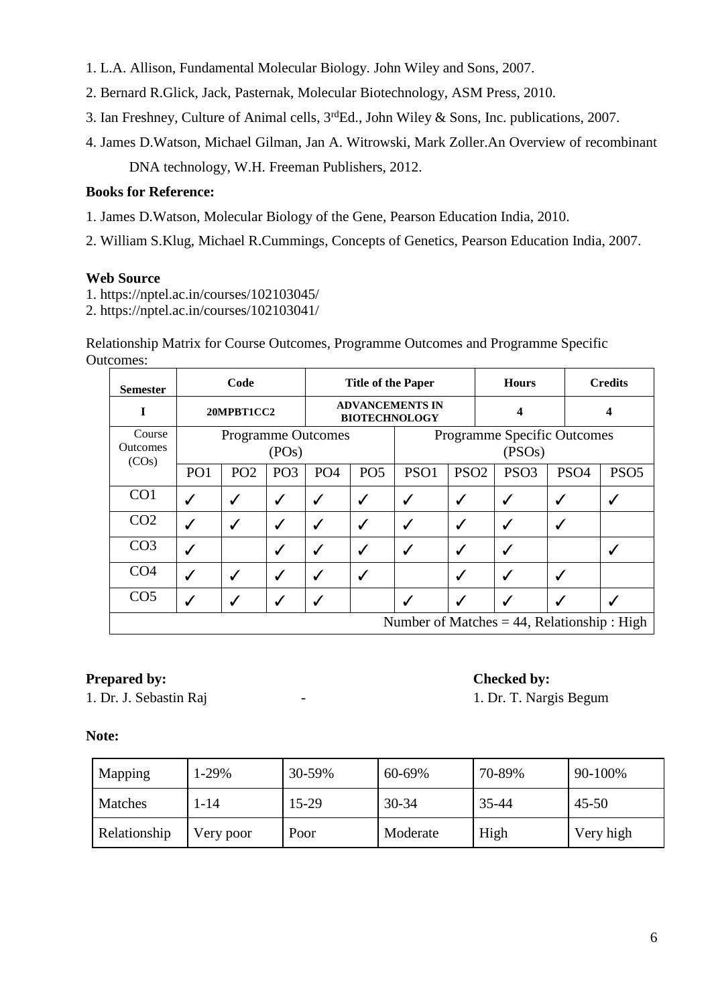- 1. L.A. Allison, Fundamental Molecular Biology. John Wiley and Sons, 2007.
- 2. Bernard R.Glick, Jack, Pasternak, Molecular Biotechnology, ASM Press, 2010.
- 3. Ian Freshney, Culture of Animal cells, 3rdEd., John Wiley & Sons, Inc. publications, 2007.
- 4. James D.Watson, Michael Gilman, Jan A. Witrowski, Mark Zoller.An Overview of recombinant DNA technology, W.H. Freeman Publishers, 2012.

# **Books for Reference:**

- 1. James D.Watson, Molecular Biology of the Gene, Pearson Education India, 2010.
- 2. William S.Klug, Michael R.Cummings, Concepts of Genetics, Pearson Education India, 2007.

#### **Web Source**

- 1.<https://nptel.ac.in/courses/102103045/>
- 2. https://nptel.ac.in/courses/102103041/

Relationship Matrix for Course Outcomes, Programme Outcomes and Programme Specific Outcomes:

| <b>Semester</b>                                |                                    | Code            |                 | <b>Title of the Paper</b> |                                                |                                              |                  | <b>Hours</b>     |                  | <b>Credits</b>   |  |
|------------------------------------------------|------------------------------------|-----------------|-----------------|---------------------------|------------------------------------------------|----------------------------------------------|------------------|------------------|------------------|------------------|--|
| I                                              | 20MPBT1CC2                         |                 |                 |                           | <b>ADVANCEMENTS IN</b><br><b>BIOTECHNOLOGY</b> |                                              |                  | 4                |                  | 4                |  |
| Course<br><b>Outcomes</b>                      | <b>Programme Outcomes</b><br>(POS) |                 |                 |                           |                                                | <b>Programme Specific Outcomes</b><br>(PSOs) |                  |                  |                  |                  |  |
| (COs)                                          | PO <sub>1</sub>                    | PO <sub>2</sub> | PO <sub>3</sub> | PO <sub>4</sub>           | PO <sub>5</sub>                                | PSO1                                         | PSO <sub>2</sub> | PSO <sub>3</sub> | PSO <sub>4</sub> | PSO <sub>5</sub> |  |
| CO <sub>1</sub>                                | ℐ                                  | $\checkmark$    | $\checkmark$    | ✓                         | √                                              | ✔                                            | ✓                | √                |                  |                  |  |
| CO <sub>2</sub>                                | $\checkmark$                       | $\checkmark$    | ✓               | ✓                         | ✓                                              | ✓                                            | $\checkmark$     | ✓                | √                |                  |  |
| CO <sub>3</sub>                                |                                    |                 |                 | ✔                         | ✔                                              | $\checkmark$                                 | $\checkmark$     | √                |                  |                  |  |
| CO <sub>4</sub>                                | $\checkmark$                       | $\checkmark$    | ✔               | ✓                         | ✓                                              |                                              | ✓                | ✓                | ✔                |                  |  |
| CO <sub>5</sub>                                | ✔<br>√                             |                 |                 |                           |                                                | ✔                                            | ✓                |                  |                  |                  |  |
| Number of Matches $= 44$ , Relationship : High |                                    |                 |                 |                           |                                                |                                              |                  |                  |                  |                  |  |

# **Prepared by: Checked by: Checked by:**

1. Dr. J. Sebastin Raj  $\qquad \qquad$  - 1. Dr. T. Nargis Begum

| Mapping      | $1-29%$   | 30-59% | 60-69%    | 70-89% | 90-100%   |  |
|--------------|-----------|--------|-----------|--------|-----------|--|
| Matches      | l-14      | 15-29  | $30 - 34$ | 35-44  | $45 - 50$ |  |
| Relationship | Very poor | Poor   | Moderate  | High   | Very high |  |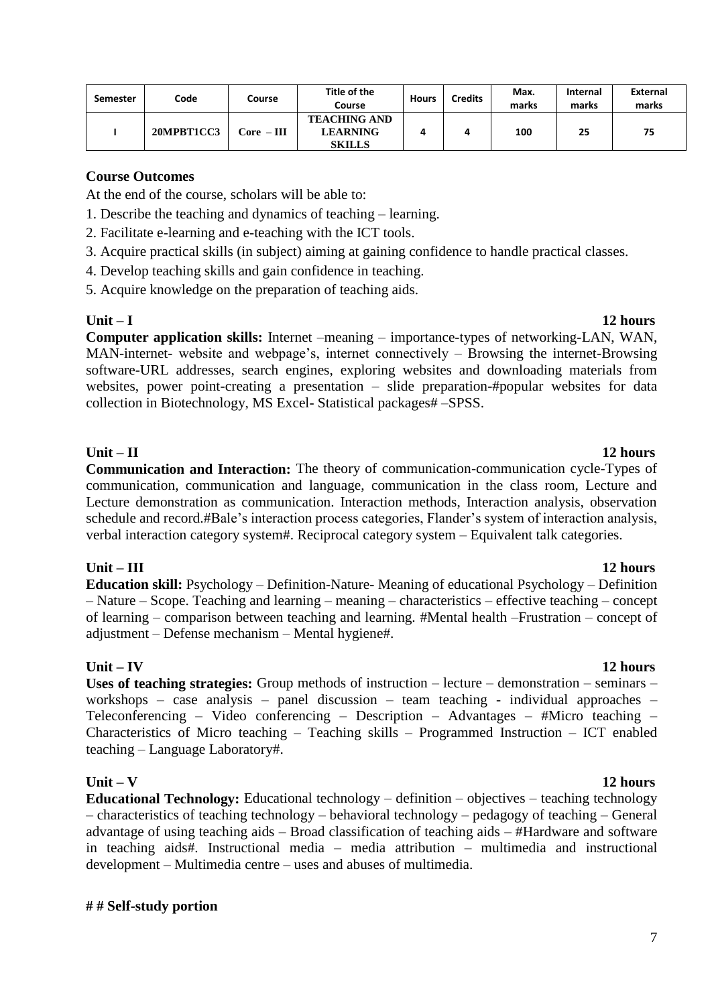| Semester | Code       | Course       | Title of the<br>Course                                  | <b>Hours</b> | <b>Credits</b> | Max.<br>marks | <b>Internal</b><br>marks | External<br>marks |
|----------|------------|--------------|---------------------------------------------------------|--------------|----------------|---------------|--------------------------|-------------------|
|          | 20MPBT1CC3 | $Core = III$ | <b>TEACHING AND</b><br><b>LEARNING</b><br><b>SKILLS</b> |              |                | 100           | 25                       | 75                |

At the end of the course, scholars will be able to:

- 1. Describe the teaching and dynamics of teaching learning.
- 2. Facilitate e-learning and e-teaching with the ICT tools.
- 3. Acquire practical skills (in subject) aiming at gaining confidence to handle practical classes.
- 4. Develop teaching skills and gain confidence in teaching.
- 5. Acquire knowledge on the preparation of teaching aids.

### **Unit – I 12 hours**

**Computer application skills:** Internet –meaning – importance-types of networking-LAN, WAN, MAN-internet- website and webpage's, internet connectively – Browsing the internet-Browsing software-URL addresses, search engines, exploring websites and downloading materials from websites, power point-creating a presentation – slide preparation-#popular websites for data collection in Biotechnology, MS Excel- Statistical packages# –SPSS.

# **Unit – II 12 hours**

**Communication and Interaction:** The theory of communication-communication cycle-Types of communication, communication and language, communication in the class room, Lecture and Lecture demonstration as communication. Interaction methods, Interaction analysis, observation schedule and record.#Bale's interaction process categories, Flander's system of interaction analysis, verbal interaction category system#. Reciprocal category system – Equivalent talk categories.

# **Unit – III 12 hours**

**Education skill:** Psychology – Definition-Nature- Meaning of educational Psychology – Definition – Nature – Scope. Teaching and learning – meaning – characteristics – effective teaching – concept of learning – comparison between teaching and learning. #Mental health –Frustration – concept of adjustment – Defense mechanism – Mental hygiene#.

**Unit – IV 12 hours Uses of teaching strategies:** Group methods of instruction – lecture – demonstration – seminars – workshops – case analysis – panel discussion – team teaching - individual approaches – Teleconferencing – Video conferencing – Description – Advantages – #Micro teaching – Characteristics of Micro teaching – Teaching skills – Programmed Instruction – ICT enabled teaching – Language Laboratory#.

# **Unit – V 12 hours**

**Educational Technology:** Educational technology – definition – objectives – teaching technology – characteristics of teaching technology – behavioral technology – pedagogy of teaching – General advantage of using teaching aids – Broad classification of teaching aids – #Hardware and software in teaching aids#. Instructional media – media attribution – multimedia and instructional development – Multimedia centre – uses and abuses of multimedia.

### **# # Self-study portion**

### 7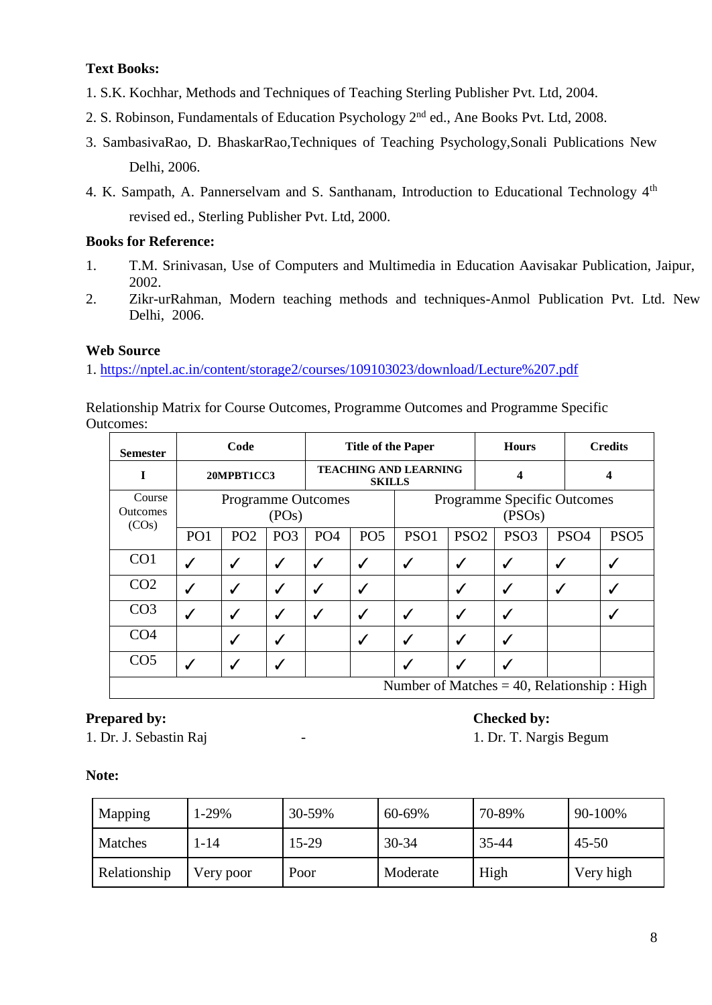- 1. S.K. Kochhar, Methods and Techniques of Teaching Sterling Publisher Pvt. Ltd, 2004.
- 2. S. Robinson, Fundamentals of Education Psychology 2nd ed., Ane Books Pvt. Ltd, 2008.
- 3. SambasivaRao, D. BhaskarRao,Techniques of Teaching Psychology,Sonali Publications New Delhi, 2006.
- 4. K. Sampath, A. Pannerselvam and S. Santhanam, Introduction to Educational Technology 4<sup>th</sup> revised ed., Sterling Publisher Pvt. Ltd, 2000.

## **Books for Reference:**

- 1. T.M. Srinivasan, Use of Computers and Multimedia in Education Aavisakar Publication, Jaipur, 2002.
- 2. Zikr-urRahman, Modern teaching methods and techniques-Anmol Publication Pvt. Ltd. New Delhi, 2006.

# **Web Source**

1.<https://nptel.ac.in/content/storage2/courses/109103023/download/Lecture%207.pdf>

Relationship Matrix for Course Outcomes, Programme Outcomes and Programme Specific Outcomes:

| <b>Semester</b>                    | Code                                          |                                    | <b>Title of the Paper</b> |                                               |                 |              |                                              | <b>Credits</b>   |                  |                  |  |  |
|------------------------------------|-----------------------------------------------|------------------------------------|---------------------------|-----------------------------------------------|-----------------|--------------|----------------------------------------------|------------------|------------------|------------------|--|--|
| 1                                  |                                               | 20MPBT1CC3                         |                           | <b>TEACHING AND LEARNING</b><br><b>SKILLS</b> |                 |              |                                              | 4                |                  | 4                |  |  |
| Course<br><b>Outcomes</b><br>(COs) |                                               | <b>Programme Outcomes</b><br>(POS) |                           |                                               |                 |              | <b>Programme Specific Outcomes</b><br>(PSOs) |                  |                  |                  |  |  |
|                                    | PO <sub>1</sub>                               | PO <sub>2</sub>                    | PO <sub>3</sub>           | PO <sub>4</sub>                               | PO <sub>5</sub> | PSO1         | PSO <sub>2</sub>                             | PSO <sub>3</sub> | PSO <sub>4</sub> | PSO <sub>5</sub> |  |  |
| CO <sub>1</sub>                    | $\checkmark$                                  | $\checkmark$                       | $\checkmark$              | ✓                                             | ✓               | $\checkmark$ | ✓                                            | ✓                | $\checkmark$     |                  |  |  |
| CO <sub>2</sub>                    | ℐ                                             | √                                  | $\checkmark$              | ✓                                             | ✔               |              | ✓                                            | √                |                  |                  |  |  |
| CO <sub>3</sub>                    |                                               | $\checkmark$                       | $\checkmark$              | ✓                                             | √               | $\checkmark$ | $\checkmark$                                 |                  |                  |                  |  |  |
| CO <sub>4</sub>                    |                                               |                                    |                           |                                               | ✔               | √            | ✓                                            | √                |                  |                  |  |  |
| CO <sub>5</sub>                    | $\checkmark$                                  |                                    |                           |                                               |                 |              | ✓                                            | $\checkmark$     |                  |                  |  |  |
|                                    | Number of Matches $=$ 40, Relationship : High |                                    |                           |                                               |                 |              |                                              |                  |                  |                  |  |  |

# **Prepared by: Checked by: Checked by:**

1. Dr. J. Sebastin Raj  $\qquad -$  1. Dr. T. Nargis Begum

| Mapping      | 1-29%     | 30-59% | 60-69%    | 70-89% | 90-100%   |
|--------------|-----------|--------|-----------|--------|-----------|
| Matches      | 1-14      | 15-29  | $30 - 34$ | 35-44  | $45 - 50$ |
| Relationship | Very poor | Poor   | Moderate  | High   | Very high |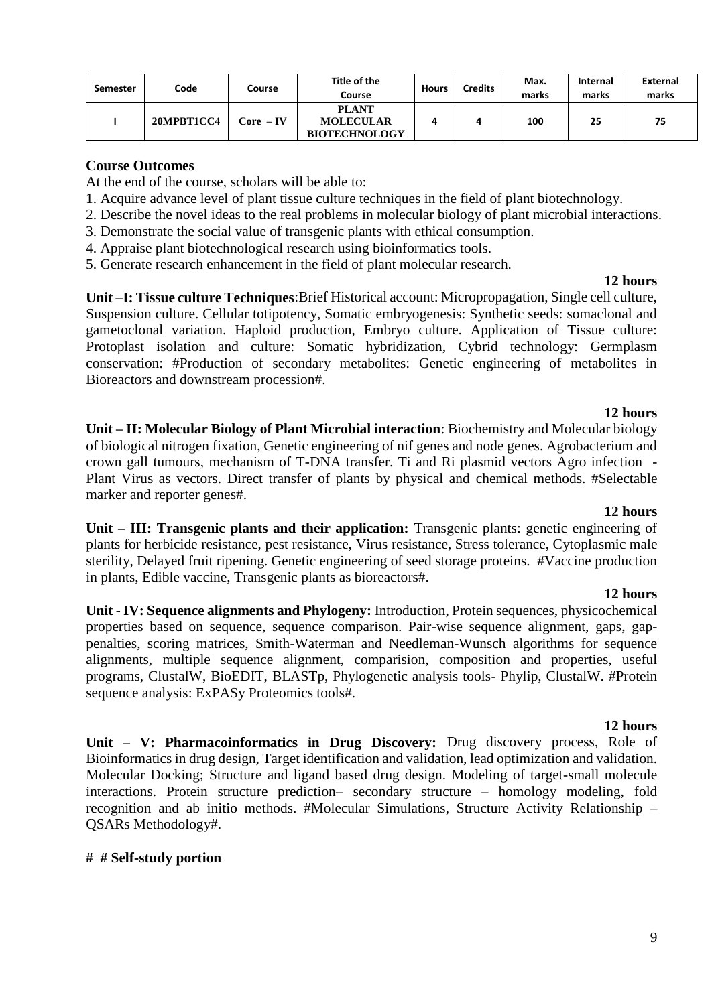| <b>Semester</b> | Code       | Course      | Title of the<br>Course                                   | <b>Hours</b> | <b>Credits</b> | Max.<br>marks | Internal<br>marks | <b>External</b><br>marks |
|-----------------|------------|-------------|----------------------------------------------------------|--------------|----------------|---------------|-------------------|--------------------------|
|                 | 20MPBT1CC4 | $Core - IV$ | <b>PLANT</b><br><b>MOLECULAR</b><br><b>BIOTECHNOLOGY</b> |              |                | 100           | 25                | 75                       |

At the end of the course, scholars will be able to:

- 1. Acquire advance level of plant tissue culture techniques in the field of plant biotechnology.
- 2. Describe the novel ideas to the real problems in molecular biology of plant microbial interactions.
- 3. Demonstrate the social value of transgenic plants with ethical consumption.
- 4. Appraise plant biotechnological research using bioinformatics tools.
- 5. Generate research enhancement in the field of plant molecular research.

#### **12 hours**

**Unit –I: Tissue culture Techniques**:Brief Historical account: Micropropagation, Single cell culture, Suspension culture. Cellular totipotency, Somatic embryogenesis: Synthetic seeds: somaclonal and gametoclonal variation. Haploid production, Embryo culture. Application of Tissue culture: Protoplast isolation and culture: Somatic hybridization, Cybrid technology: Germplasm conservation: #Production of secondary metabolites: Genetic engineering of metabolites in Bioreactors and downstream procession#.

#### **12 hours**

**Unit – II: Molecular Biology of Plant Microbial interaction**: Biochemistry and Molecular biology of biological nitrogen fixation, Genetic engineering of nif genes and node genes. Agrobacterium and crown gall tumours, mechanism of T-DNA transfer. Ti and Ri plasmid vectors Agro infection - Plant Virus as vectors. Direct transfer of plants by physical and chemical methods. #Selectable marker and reporter genes#.

#### **12 hours**

**Unit – III: Transgenic plants and their application:** Transgenic plants: genetic engineering of plants for herbicide resistance, pest resistance, Virus resistance, Stress tolerance, Cytoplasmic male sterility, Delayed fruit ripening. Genetic engineering of seed storage proteins. #Vaccine production in plants, Edible vaccine, Transgenic plants as bioreactors#.

#### **12 hours**

**Unit - IV: Sequence alignments and Phylogeny:** Introduction, Protein sequences, physicochemical properties based on sequence, sequence comparison. Pair-wise sequence alignment, gaps, gappenalties, scoring matrices, Smith-Waterman and Needleman-Wunsch algorithms for sequence alignments, multiple sequence alignment, comparision, composition and properties, useful programs, ClustalW, BioEDIT, BLASTp, Phylogenetic analysis tools- Phylip, ClustalW. #Protein sequence analysis: ExPASy Proteomics tools#.

#### **12 hours**

**Unit – V: Pharmacoinformatics in Drug Discovery:** Drug discovery process, Role of Bioinformatics in drug design, Target identification and validation, lead optimization and validation. Molecular Docking; Structure and ligand based drug design. Modeling of target-small molecule interactions. Protein structure prediction– secondary structure – homology modeling, fold recognition and ab initio methods. #Molecular Simulations, Structure Activity Relationship – QSARs Methodology#.

#### **# # Self-study portion**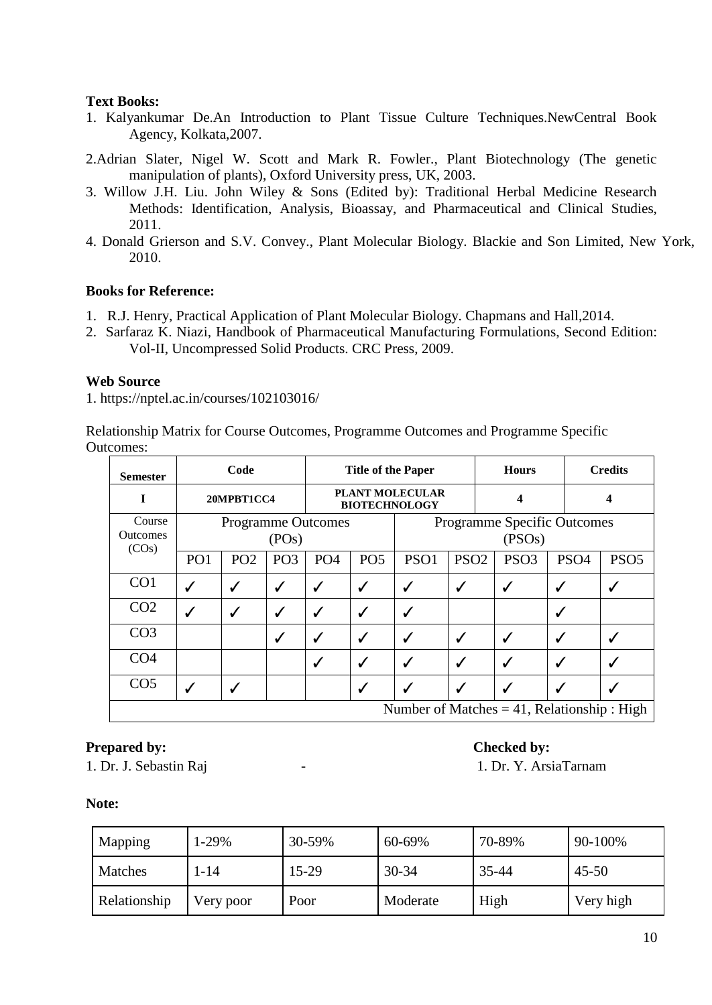- 1. Kalyankumar De.An Introduction to Plant Tissue Culture Techniques.NewCentral Book Agency, Kolkata,2007.
- 2.Adrian Slater, Nigel W. Scott and Mark R. Fowler., Plant Biotechnology (The genetic manipulation of plants), Oxford University press, UK, 2003.
- 3. Willow J.H. Liu. John Wiley & Sons (Edited by): Traditional Herbal Medicine Research Methods: Identification, Analysis, Bioassay, and Pharmaceutical and Clinical Studies, 2011.
- 4. Donald Grierson and S.V. Convey., Plant Molecular Biology. Blackie and Son Limited, New York, 2010.

### **Books for Reference:**

- 1. R.J. Henry, Practical Application of Plant Molecular Biology. Chapmans and Hall,2014.
- 2. [Sarfaraz K. Niazi,](https://www.google.co.in/search?tbo=p&tbm=bks&q=inauthor:%22Sarfaraz+K.+Niazi%22) Handbook of Pharmaceutical Manufacturing Formulations, Second Edition: Vol-II, Uncompressed Solid Products. CRC Press, 2009.

### **Web Source**

1. https://nptel.ac.in/courses/102103016/

Relationship Matrix for Course Outcomes, Programme Outcomes and Programme Specific Outcomes:

| <b>Semester</b>                                                          |                                                | Code            |                 |                 | <b>Title of the Paper</b>                      |                                              |                  |  | <b>Hours</b>     |                  | <b>Credits</b>   |  |
|--------------------------------------------------------------------------|------------------------------------------------|-----------------|-----------------|-----------------|------------------------------------------------|----------------------------------------------|------------------|--|------------------|------------------|------------------|--|
| I                                                                        |                                                | 20MPBT1CC4      |                 |                 | <b>PLANT MOLECULAR</b><br><b>BIOTECHNOLOGY</b> |                                              |                  |  | 4                |                  | 4                |  |
| Course<br><b>Programme Outcomes</b><br><b>Outcomes</b><br>(POS)<br>(COs) |                                                |                 |                 |                 |                                                | <b>Programme Specific Outcomes</b><br>(PSOs) |                  |  |                  |                  |                  |  |
|                                                                          | PO <sub>1</sub>                                | PO <sub>2</sub> | PO <sub>3</sub> | PO <sub>4</sub> | PO <sub>5</sub>                                | PSO1                                         | PSO <sub>2</sub> |  | PSO <sub>3</sub> | PSO <sub>4</sub> | PSO <sub>5</sub> |  |
| CO <sub>1</sub>                                                          | ℐ                                              | $\checkmark$    | $\checkmark$    | ✓               | ✓                                              | ✔                                            | ✓                |  | $\checkmark$     | √                |                  |  |
| CO <sub>2</sub>                                                          | $\checkmark$                                   | $\checkmark$    | ✓               | ✓               | √                                              | √                                            |                  |  |                  |                  |                  |  |
| CO <sub>3</sub>                                                          |                                                |                 | ✓               | ✓               | ✓                                              | ✓                                            | ✓                |  | $\checkmark$     | √                |                  |  |
| CO <sub>4</sub>                                                          |                                                |                 |                 | √               | ✓                                              | ✓                                            | $\checkmark$     |  | ✔                |                  |                  |  |
| CO <sub>5</sub>                                                          | $\checkmark$<br>✓                              |                 |                 |                 |                                                | ✔                                            |                  |  |                  |                  |                  |  |
|                                                                          | Number of Matches $= 41$ , Relationship : High |                 |                 |                 |                                                |                                              |                  |  |                  |                  |                  |  |

# **Prepared by: Checked by: Checked by:**

1. Dr. J. Sebastin Raj  $1.$  Dr. Y. ArsiaTarnam

| Mapping      | 1-29%     | 30-59% | 60-69%    | 70-89% | 90-100%   |
|--------------|-----------|--------|-----------|--------|-----------|
| Matches      | 1-14      | 15-29  | $30 - 34$ | 35-44  | $45 - 50$ |
| Relationship | Very poor | Poor   | Moderate  | High   | Very high |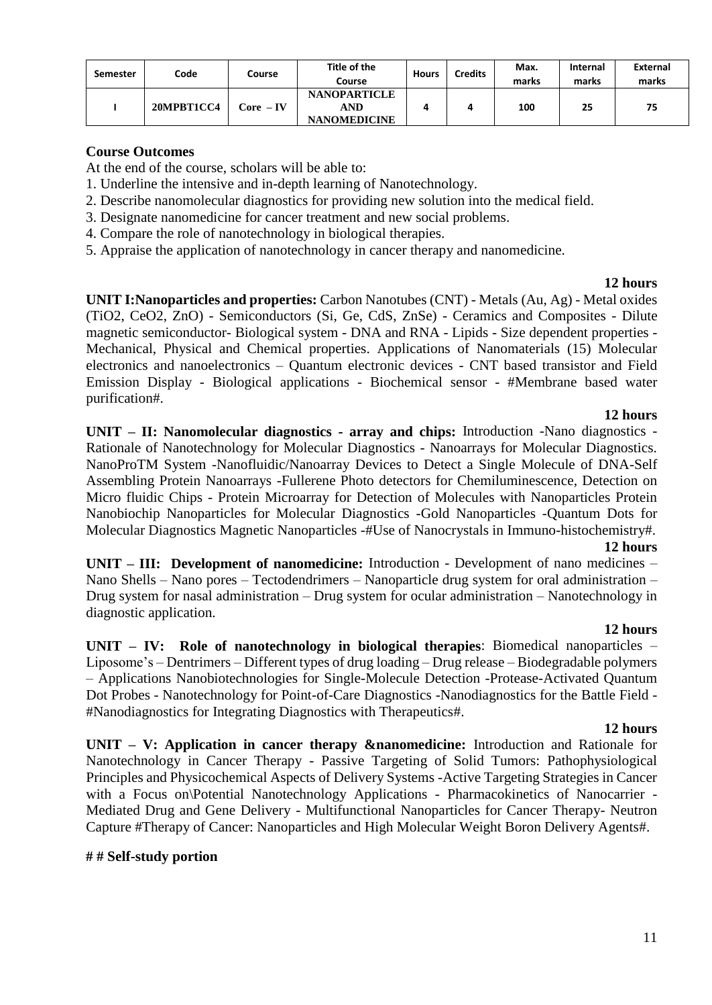| <b>Semester</b> | Code       | Course     | Title of the<br>Course                            | <b>Hours</b> | Credits | Max.<br>marks | <b>Internal</b><br>marks | <b>External</b><br>marks |
|-----------------|------------|------------|---------------------------------------------------|--------------|---------|---------------|--------------------------|--------------------------|
|                 | 20MPBT1CC4 | Core  – IV | <b>NANOPARTICLE</b><br>AND<br><b>NANOMEDICINE</b> |              |         | 100           | 25                       | 75                       |

At the end of the course, scholars will be able to:

- 1. Underline the intensive and in-depth learning of Nanotechnology.
- 2. Describe nanomolecular diagnostics for providing new solution into the medical field.
- 3. Designate nanomedicine for cancer treatment and new social problems.
- 4. Compare the role of nanotechnology in biological therapies.
- 5. Appraise the application of nanotechnology in cancer therapy and nanomedicine.

#### **12 hours**

**UNIT I:Nanoparticles and properties:** Carbon Nanotubes (CNT) - Metals (Au, Ag) - Metal oxides (TiO2, CeO2, ZnO) - Semiconductors (Si, Ge, CdS, ZnSe) - Ceramics and Composites - Dilute magnetic semiconductor- Biological system - DNA and RNA - Lipids - Size dependent properties - Mechanical, Physical and Chemical properties. Applications of Nanomaterials (15) Molecular electronics and nanoelectronics – Quantum electronic devices - CNT based transistor and Field Emission Display - Biological applications - Biochemical sensor - #Membrane based water purification#.

#### **12 hours**

**UNIT – II: Nanomolecular diagnostics - array and chips:** Introduction -Nano diagnostics - Rationale of Nanotechnology for Molecular Diagnostics - Nanoarrays for Molecular Diagnostics. NanoProTM System -Nanofluidic/Nanoarray Devices to Detect a Single Molecule of DNA-Self Assembling Protein Nanoarrays -Fullerene Photo detectors for Chemiluminescence, Detection on Micro fluidic Chips - Protein Microarray for Detection of Molecules with Nanoparticles Protein Nanobiochip Nanoparticles for Molecular Diagnostics -Gold Nanoparticles -Quantum Dots for Molecular Diagnostics Magnetic Nanoparticles -#Use of Nanocrystals in Immuno-histochemistry#.

#### **12 hours**

**UNIT – III: Development of nanomedicine:** Introduction - Development of nano medicines – Nano Shells – Nano pores – Tectodendrimers – Nanoparticle drug system for oral administration – Drug system for nasal administration – Drug system for ocular administration – Nanotechnology in diagnostic application.

#### **12 hours**

**UNIT – IV: Role of nanotechnology in biological therapies**: Biomedical nanoparticles – Liposome's – Dentrimers – Different types of drug loading – Drug release – Biodegradable polymers – Applications Nanobiotechnologies for Single-Molecule Detection -Protease-Activated Quantum Dot Probes - Nanotechnology for Point-of-Care Diagnostics -Nanodiagnostics for the Battle Field - #Nanodiagnostics for Integrating Diagnostics with Therapeutics#.

#### **12 hours**

**UNIT – V: Application in cancer therapy &nanomedicine:** Introduction and Rationale for Nanotechnology in Cancer Therapy - Passive Targeting of Solid Tumors: Pathophysiological Principles and Physicochemical Aspects of Delivery Systems -Active Targeting Strategies in Cancer with a Focus on\Potential Nanotechnology Applications - Pharmacokinetics of Nanocarrier -Mediated Drug and Gene Delivery - Multifunctional Nanoparticles for Cancer Therapy- Neutron Capture #Therapy of Cancer: Nanoparticles and High Molecular Weight Boron Delivery Agents#.

#### **# # Self-study portion**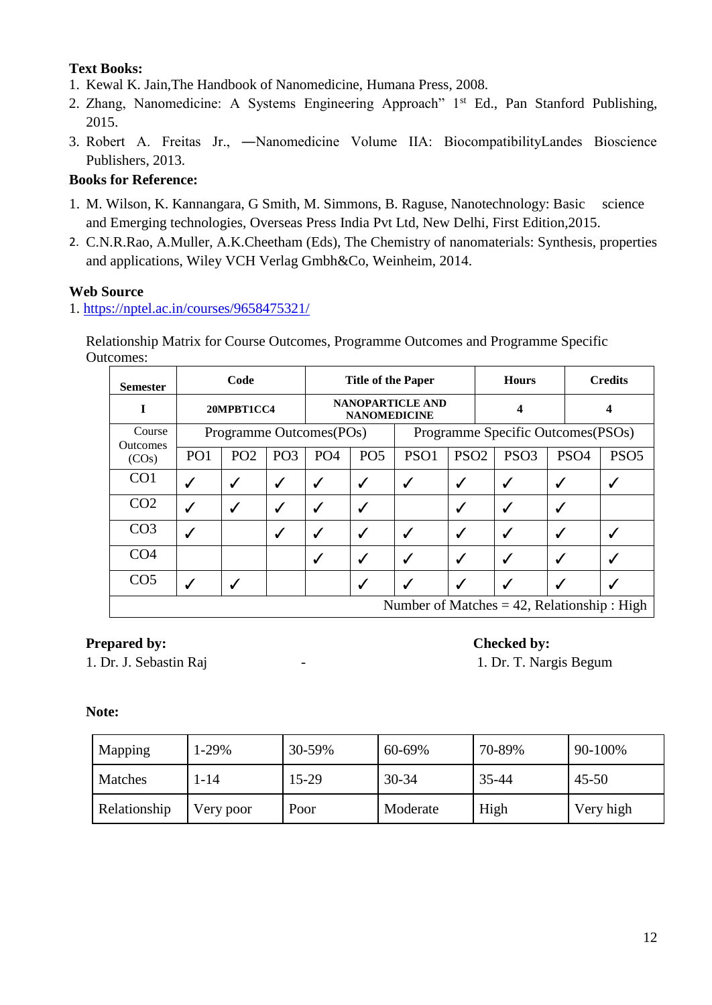- 1. Kewal K. Jain,The Handbook of Nanomedicine, Humana Press, 2008.
- 2. Zhang, Nanomedicine: A Systems Engineering Approach" 1<sup>st</sup> Ed., Pan Stanford Publishing, 2015.
- 3. Robert A. Freitas Jr., ―Nanomedicine Volume IIA: BiocompatibilityLandes Bioscience Publishers, 2013.

# **Books for Reference:**

- 1. M. Wilson, K. Kannangara, G Smith, M. Simmons, B. Raguse, Nanotechnology: Basic science and Emerging technologies, Overseas Press India Pvt Ltd, New Delhi, First Edition,2015.
- 2. C.N.R.Rao, A.Muller, A.K.Cheetham (Eds), The Chemistry of nanomaterials: Synthesis, properties and applications, Wiley VCH Verlag Gmbh&Co, Weinheim, 2014.

# **Web Source**

1.<https://nptel.ac.in/courses/9658475321/>

Relationship Matrix for Course Outcomes, Programme Outcomes and Programme Specific Outcomes:

| <b>Semester</b>           |                 | Code            |                 | <b>Title of the Paper</b>                      |                 |                  |                  | <b>Hours</b>                                   |                                    | <b>Credits</b>   |  |
|---------------------------|-----------------|-----------------|-----------------|------------------------------------------------|-----------------|------------------|------------------|------------------------------------------------|------------------------------------|------------------|--|
| I                         |                 | 20MPBT1CC4      |                 | <b>NANOPARTICLE AND</b><br><b>NANOMEDICINE</b> |                 |                  |                  |                                                |                                    |                  |  |
| Course<br><b>Outcomes</b> |                 |                 |                 | Programme Outcomes(POs)                        |                 |                  |                  |                                                | Programme Specific Outcomes (PSOs) |                  |  |
| (COs)                     | PO <sub>1</sub> | PO <sub>2</sub> | PO <sub>3</sub> | PO <sub>4</sub>                                | PO <sub>5</sub> | PSO <sub>1</sub> | PSO <sub>2</sub> | PSO <sub>3</sub>                               | PSO <sub>4</sub>                   | PSO <sub>5</sub> |  |
| CO <sub>1</sub>           |                 |                 |                 | ✓                                              | ✓               | √                | ✓                | ✔                                              |                                    |                  |  |
| CO <sub>2</sub>           |                 |                 |                 | ✔                                              | √               |                  | ✓                | √                                              |                                    |                  |  |
| CO <sub>3</sub>           |                 |                 |                 | √                                              | √               | √                | ✓                | √                                              |                                    |                  |  |
| CO <sub>4</sub>           |                 |                 |                 | ✓                                              | √               | √                | ✓                | ✔                                              |                                    |                  |  |
| CO <sub>5</sub>           |                 |                 |                 |                                                | √               | $\mathbf{v}$     | $\checkmark$     |                                                |                                    |                  |  |
|                           |                 |                 |                 |                                                |                 |                  |                  | Number of Matches $= 42$ , Relationship : High |                                    |                  |  |

# **Prepared by: Checked by: Checked by:**

1. Dr. J. Sebastin Raj  $\qquad \qquad$  -  $\qquad \qquad$  1. Dr. T. Nargis Begum

| Mapping      | 1-29%     | 30-59% | 60-69%    | 70-89% | 90-100%   |
|--------------|-----------|--------|-----------|--------|-----------|
| Matches      | 1-14      | 15-29  | $30 - 34$ | 35-44  | $45 - 50$ |
| Relationship | Very poor | Poor   | Moderate  | High   | Very high |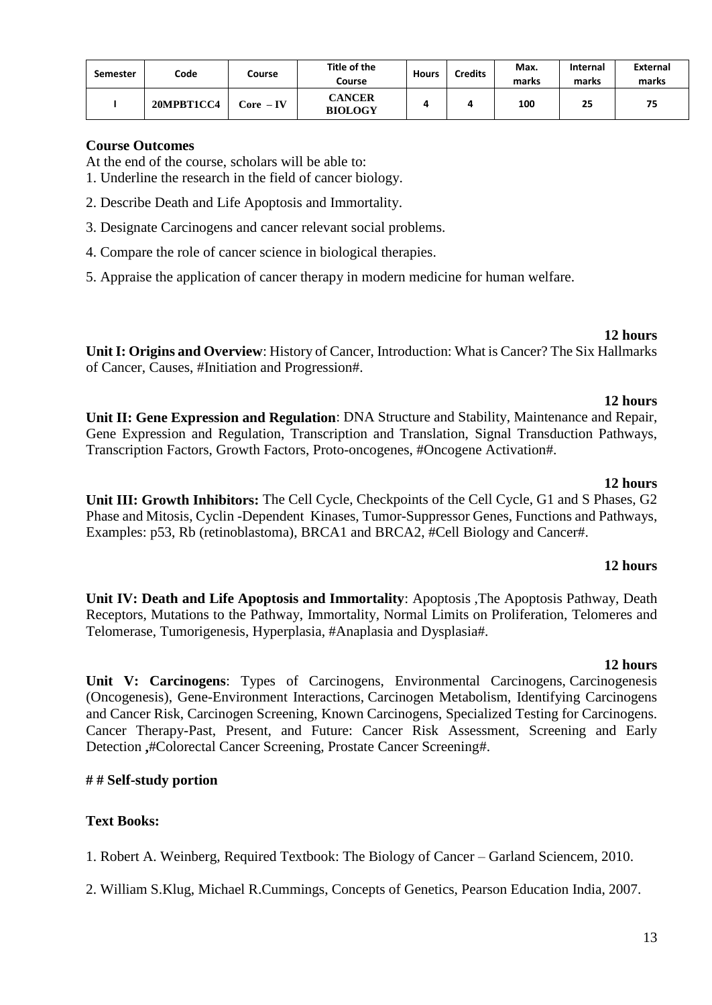| <b>Semester</b> | Code       | Course                    | Title of the<br>Course          | <b>Hours</b> | Credits | Max.<br>marks | <b>Internal</b><br>marks | <b>External</b><br>marks |
|-----------------|------------|---------------------------|---------------------------------|--------------|---------|---------------|--------------------------|--------------------------|
|                 | 20MPBT1CC4 | $\text{Core} - \text{IV}$ | <b>CANCER</b><br><b>BIOLOGY</b> |              | 4       | 100           | 25                       | 75                       |

At the end of the course, scholars will be able to:

- 1. Underline the research in the field of cancer biology.
- 2. Describe Death and Life Apoptosis and Immortality.
- 3. Designate Carcinogens and cancer relevant social problems.
- 4. Compare the role of cancer science in biological therapies.
- 5. Appraise the application of cancer therapy in modern medicine for human welfare.

#### **12 hours**

**Unit I: Origins and Overview**: History of Cancer, Introduction: What is Cancer? The Six Hallmarks of Cancer, Causes, #Initiation and Progression#.

### **12 hours**

**Unit II: Gene Expression and Regulation**: DNA Structure and Stability, Maintenance and Repair, Gene Expression and Regulation, Transcription and Translation, Signal Transduction Pathways, Transcription Factors, Growth Factors, Proto-oncogenes, #Oncogene Activation#.

#### **12 hours**

**Unit III: Growth Inhibitors:** The Cell Cycle, Checkpoints of the Cell Cycle, G1 and S Phases, G2 Phase and Mitosis, Cyclin -Dependent Kinases, Tumor-Suppressor Genes, Functions and Pathways, Examples: p53, Rb (retinoblastoma), BRCA1 and BRCA2, #Cell Biology and Cancer#.

#### **12 hours**

**Unit IV: Death and Life Apoptosis and Immortality**: Apoptosis ,The Apoptosis Pathway, Death Receptors, Mutations to the Pathway, Immortality, Normal Limits on Proliferation, Telomeres and Telomerase, Tumorigenesis, Hyperplasia, #Anaplasia and Dysplasia#.

### **12 hours**

**Unit V: Carcinogens**: Types of Carcinogens, Environmental Carcinogens, Carcinogenesis (Oncogenesis), Gene-Environment Interactions, Carcinogen Metabolism, Identifying Carcinogens and Cancer Risk, Carcinogen Screening, Known Carcinogens, Specialized Testing for Carcinogens. Cancer Therapy-Past, Present, and Future: Cancer Risk Assessment, Screening and Early Detection **,**#Colorectal Cancer Screening, Prostate Cancer Screening#.

### **# # Self-study portion**

### **Text Books:**

1. Robert A. Weinberg, Required Textbook: The Biology of Cancer – Garland Sciencem, 2010.

2. William S.Klug, Michael R.Cummings, Concepts of Genetics, Pearson Education India, 2007.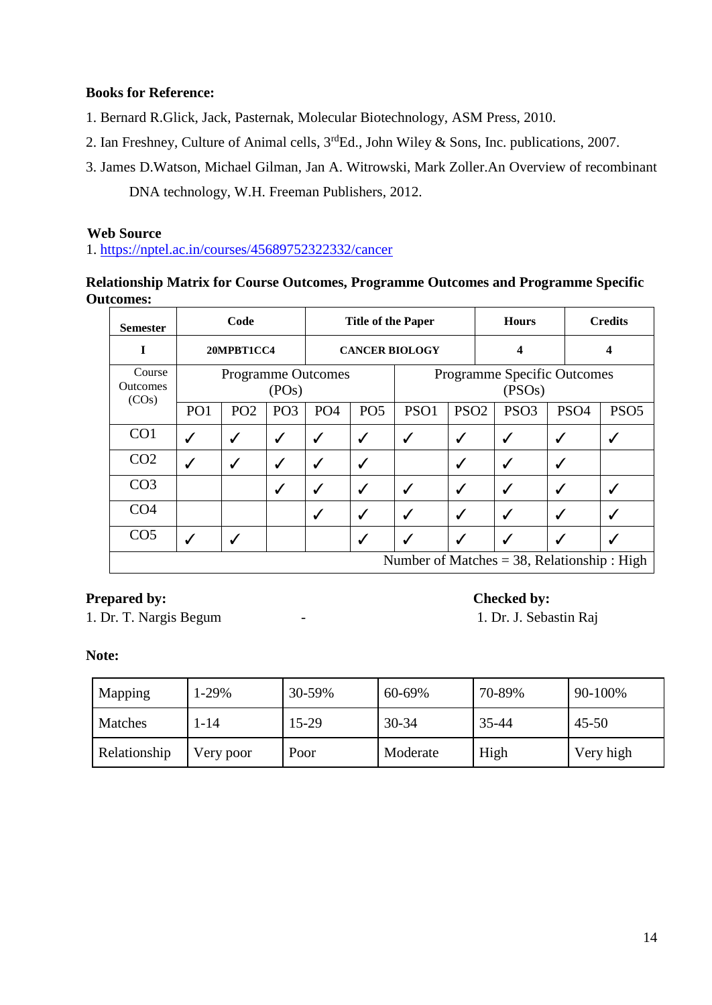# **Books for Reference:**

- 1. Bernard R.Glick, Jack, Pasternak, Molecular Biotechnology, ASM Press, 2010.
- 2. Ian Freshney, Culture of Animal cells, 3<sup>rd</sup>Ed., John Wiley & Sons, Inc. publications, 2007.
- 3. James D.Watson, Michael Gilman, Jan A. Witrowski, Mark Zoller.An Overview of recombinant DNA technology, W.H. Freeman Publishers, 2012.

## **Web Source**

1.<https://nptel.ac.in/courses/45689752322332/cancer>

# **Relationship Matrix for Course Outcomes, Programme Outcomes and Programme Specific Outcomes:**

| <b>Semester</b>                    |                                    | Code            |                 | <b>Title of the Paper</b> |                 |                                                |                  | <b>Hours</b> |                  |                  | <b>Credits</b>   |
|------------------------------------|------------------------------------|-----------------|-----------------|---------------------------|-----------------|------------------------------------------------|------------------|--------------|------------------|------------------|------------------|
| I                                  |                                    | 20MPBT1CC4      |                 | <b>CANCER BIOLOGY</b>     |                 |                                                |                  | 4            |                  |                  | 4                |
| Course<br><b>Outcomes</b><br>(COs) | <b>Programme Outcomes</b><br>(POS) |                 |                 |                           |                 | Programme Specific Outcomes<br>(PSOs)          |                  |              |                  |                  |                  |
|                                    | PO <sub>1</sub>                    | PO <sub>2</sub> | PO <sub>3</sub> | PO <sub>4</sub>           | PO <sub>5</sub> | PSO1                                           | PSO <sub>2</sub> |              | PSO <sub>3</sub> | PSO <sub>4</sub> | PSO <sub>5</sub> |
| CO1                                | ✔                                  | ✔               | $\checkmark$    | ✓                         | ✓               | √                                              | ✓                |              | ✓                | √                |                  |
| CO <sub>2</sub>                    | $\checkmark$                       | ✓               | $\checkmark$    | ✓                         | ✓               |                                                | $\checkmark$     |              | √                | ✔                |                  |
| CO <sub>3</sub>                    |                                    |                 | $\checkmark$    | ✓                         | √               | √                                              | $\checkmark$     |              | √                | √                |                  |
| CO <sub>4</sub>                    |                                    |                 |                 | √                         | $\checkmark$    | $\checkmark$                                   | $\checkmark$     |              | $\checkmark$     | ✔                |                  |
| CO <sub>5</sub>                    |                                    |                 |                 |                           | √               | ں                                              | $\checkmark$     |              |                  |                  |                  |
|                                    |                                    |                 |                 |                           |                 | Number of Matches = $38$ , Relationship : High |                  |              |                  |                  |                  |

# **Prepared by: Checked by: Checked by:**

1. Dr. T. Nargis Begum - 1. Dr. J. Sebastin Raj

| Mapping      | 1-29%     | 30-59% | 60-69%    | 70-89% | 90-100%   |
|--------------|-----------|--------|-----------|--------|-----------|
| Matches      | 1-14      | 15-29  | $30 - 34$ | 35-44  | $45 - 50$ |
| Relationship | Very poor | Poor   | Moderate  | High   | Very high |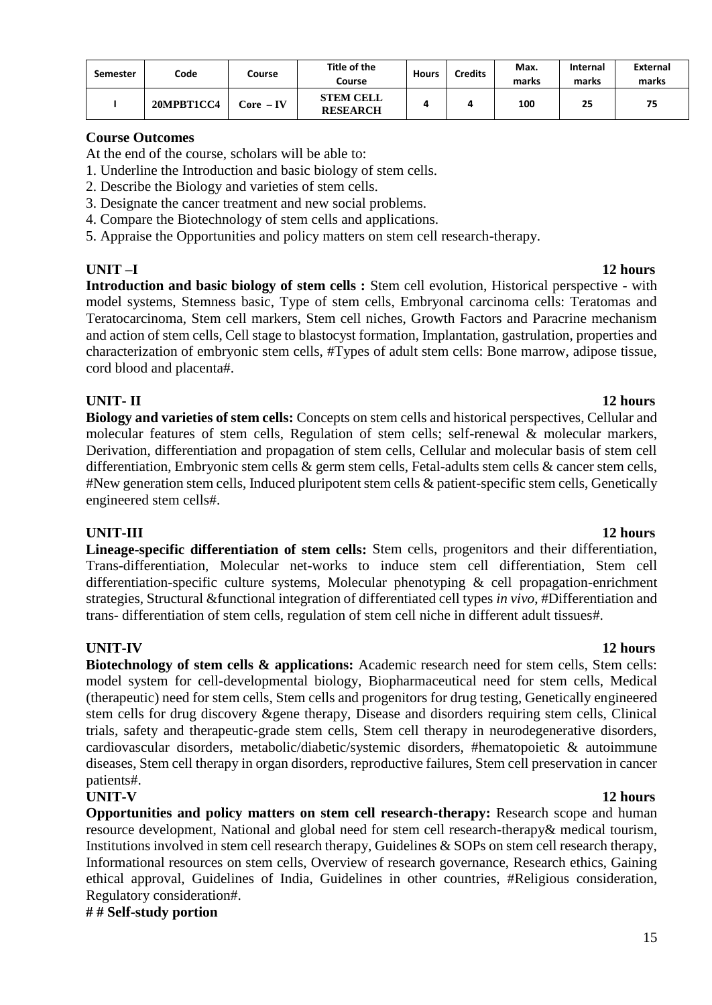| <b>Semester</b> | Code       | Course    | Title of the<br>Course              | <b>Hours</b> | Credits | Max.<br>marks | <b>Internal</b><br>marks | External<br>marks |
|-----------------|------------|-----------|-------------------------------------|--------------|---------|---------------|--------------------------|-------------------|
|                 | 20MPBT1CC4 | Core – IV | <b>STEM CELL</b><br><b>RESEARCH</b> |              |         | 100           | 25                       | 75                |

At the end of the course, scholars will be able to:

- 1. Underline the Introduction and basic biology of stem cells.
- 2. Describe the Biology and varieties of stem cells.
- 3. Designate the cancer treatment and new social problems.
- 4. Compare the Biotechnology of stem cells and applications.
- 5. Appraise the Opportunities and policy matters on stem cell research-therapy.

**UNIT –I 12 hours Introduction and basic biology of stem cells :** Stem cell evolution, Historical perspective - with model systems, Stemness basic, Type of stem cells, Embryonal carcinoma cells: Teratomas and Teratocarcinoma, Stem cell markers, Stem cell niches, Growth Factors and Paracrine mechanism and action of stem cells, Cell stage to blastocyst formation, Implantation, gastrulation, properties and characterization of embryonic stem cells, #Types of adult stem cells: Bone marrow, adipose tissue, cord blood and placenta#.

# **UNIT- II 12 hours**

**Biology and varieties of stem cells:** Concepts on stem cells and historical perspectives, Cellular and molecular features of stem cells, Regulation of stem cells; self-renewal & molecular markers, Derivation, differentiation and propagation of stem cells, Cellular and molecular basis of stem cell differentiation, Embryonic stem cells & germ stem cells, Fetal-adults stem cells & cancer stem cells, #New generation stem cells, Induced pluripotent stem cells & patient-specific stem cells, Genetically engineered stem cells#.

### **UNIT-III 12 hours**

**Lineage-specific differentiation of stem cells:** Stem cells, progenitors and their differentiation, Trans-differentiation, Molecular net-works to induce stem cell differentiation, Stem cell differentiation-specific culture systems, Molecular phenotyping & cell propagation-enrichment strategies, Structural &functional integration of differentiated cell types *in vivo*, #Differentiation and trans- differentiation of stem cells, regulation of stem cell niche in different adult tissues#.

### **UNIT-IV 12 hours**

**Biotechnology of stem cells & applications:** Academic research need for stem cells, Stem cells: model system for cell-developmental biology, Biopharmaceutical need for stem cells, Medical (therapeutic) need for stem cells, Stem cells and progenitors for drug testing, Genetically engineered stem cells for drug discovery &gene therapy, Disease and disorders requiring stem cells, Clinical trials, safety and therapeutic-grade stem cells, Stem cell therapy in neurodegenerative disorders, cardiovascular disorders, metabolic/diabetic/systemic disorders, #hematopoietic & autoimmune diseases, Stem cell therapy in organ disorders, reproductive failures, Stem cell preservation in cancer patients#.

**Opportunities and policy matters on stem cell research-therapy:** Research scope and human resource development, National and global need for stem cell research-therapy& medical tourism, Institutions involved in stem cell research therapy, Guidelines & SOPs on stem cell research therapy, Informational resources on stem cells, Overview of research governance, Research ethics, Gaining ethical approval, Guidelines of India, Guidelines in other countries, #Religious consideration, Regulatory consideration#.

**# # Self-study portion**

# **UNIT-V 12 hours**

#### 15